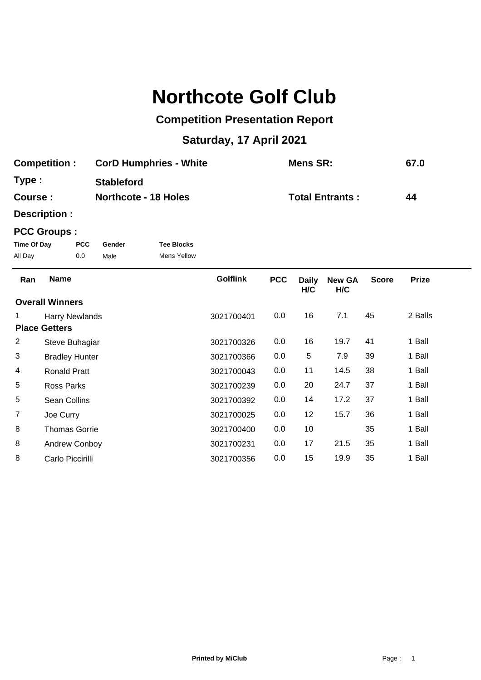# **Northcote Golf Club**

## **Competition Presentation Report**

## **Saturday, 17 April 2021**

| <b>Competition:</b> | <b>CorD Humphries - White</b> | Mens SR:               | 67.0 |
|---------------------|-------------------------------|------------------------|------|
| Type :              | <b>Stableford</b>             |                        |      |
| <b>Course:</b>      | <b>Northcote - 18 Holes</b>   | <b>Total Entrants:</b> | 44   |

**Description :**

### **PCC Groups :**

| Time Of Day | <b>PCC</b> | Gender | <b>Tee Blocks</b> |
|-------------|------------|--------|-------------------|
| All Day     | 0.0        | Male   | Mens Yellow       |

| Ran            | <b>Name</b>            | <b>Golflink</b> | <b>PCC</b> | <b>Daily</b><br>H/C | <b>New GA</b><br>H/C | <b>Score</b> | <b>Prize</b> |  |
|----------------|------------------------|-----------------|------------|---------------------|----------------------|--------------|--------------|--|
|                | <b>Overall Winners</b> |                 |            |                     |                      |              |              |  |
|                | <b>Harry Newlands</b>  | 3021700401      | 0.0        | 16                  | 7.1                  | 45           | 2 Balls      |  |
|                | <b>Place Getters</b>   |                 |            |                     |                      |              |              |  |
| 2              | Steve Buhagiar         | 3021700326      | 0.0        | 16                  | 19.7                 | 41           | 1 Ball       |  |
| 3              | <b>Bradley Hunter</b>  | 3021700366      | 0.0        | 5                   | 7.9                  | 39           | 1 Ball       |  |
| 4              | <b>Ronald Pratt</b>    | 3021700043      | 0.0        | 11                  | 14.5                 | 38           | 1 Ball       |  |
| 5              | Ross Parks             | 3021700239      | 0.0        | 20                  | 24.7                 | 37           | 1 Ball       |  |
| 5              | Sean Collins           | 3021700392      | 0.0        | 14                  | 17.2                 | 37           | 1 Ball       |  |
| $\overline{7}$ | Joe Curry              | 3021700025      | 0.0        | 12                  | 15.7                 | 36           | 1 Ball       |  |
| 8              | <b>Thomas Gorrie</b>   | 3021700400      | 0.0        | 10                  |                      | 35           | 1 Ball       |  |
| 8              | Andrew Conboy          | 3021700231      | 0.0        | 17                  | 21.5                 | 35           | 1 Ball       |  |
| 8              | Carlo Piccirilli       | 3021700356      | 0.0        | 15                  | 19.9                 | 35           | 1 Ball       |  |